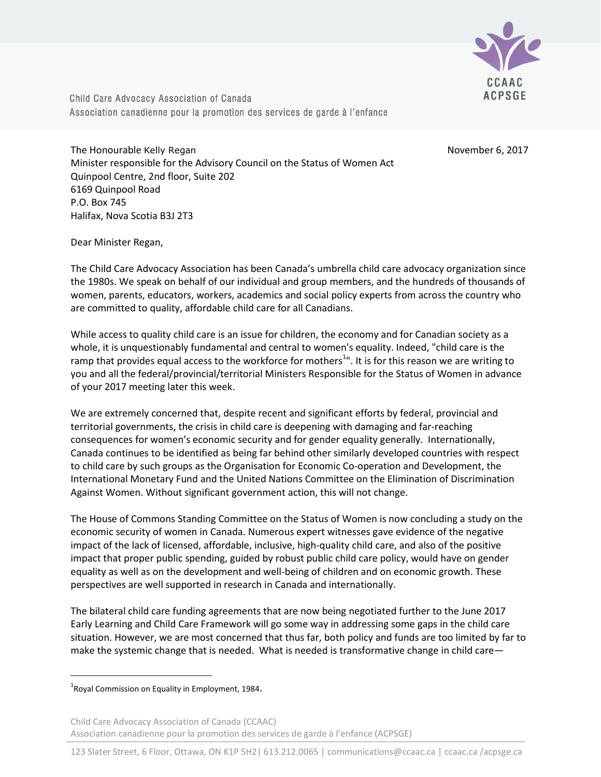

Child Care Advocacy Association of Canada Association canadienne pour la promotion des services de garde à l'enfance

The Honourable Kelly Regan November 6, 2017 Minister responsible for the Advisory Council on the Status of Women Act Quinpool Centre, 2nd floor, Suite 202 6169 Quinpool Road P.O. Box 745 Halifax, Nova Scotia B3J 2T3

Dear Minister Regan,

The Child Care Advocacy Association has been Canada's umbrella child care advocacy organization since the 1980s. We speak on behalf of our individual and group members, and the hundreds of thousands of women, parents, educators, workers, academics and social policy experts from across the country who are committed to quality, affordable child care for all Canadians.

While access to quality child care is an issue for children, the economy and for Canadian society as a whole, it is unquestionably fundamental and central to women's equality. Indeed, "child care is the ramp that provides equal access to the workforce for mothers<sup>1</sup>". It is for this reason we are writing to you and all the federal/provincial/territorial Ministers Responsible for the Status of Women in advance of your 2017 meeting later this week.

We are extremely concerned that, despite recent and significant efforts by federal, provincial and territorial governments, the crisis in child care is deepening with damaging and far-reaching consequences for women's economic security and for gender equality generally. Internationally, Canada continues to be identified as being far behind other similarly developed countries with respect to child care by such groups as the Organisation for Economic Co-operation and Development, the International Monetary Fund and the United Nations Committee on the Elimination of Discrimination Against Women. Without significant government action, this will not change.

The House of Commons Standing Committee on the Status of Women is now concluding a study on the economic security of women in Canada. Numerous expert witnesses gave evidence of the negative impact of the lack of licensed, affordable, inclusive, high-quality child care, and also of the positive impact that proper public spending, guided by robust public child care policy, would have on gender equality as well as on the development and well-being of children and on economic growth. These perspectives are well supported in research in Canada and internationally.

The bilateral child care funding agreements that are now being negotiated further to the June 2017 Early Learning and Child Care Framework will go some way in addressing some gaps in the child care situation. However, we are most concerned that thus far, both policy and funds are too limited by far to make the systemic change that is needed. What is needed is transformative change in child care—

 $\overline{\phantom{a}}$ 

Child Care Advocacy Association of Canada (CCAAC) Association canadienne pour la promotion des services de garde à l'enfance (ACPSGE)

 $^{1}$ Royal Commission on Equality in Employment, 1984.

<sup>123</sup> Slater Street, 6 Floor, Ottawa, ON K1P 5H2| 613.212.0065 | communications@ccaac.ca | ccaac.ca /acpsge.ca